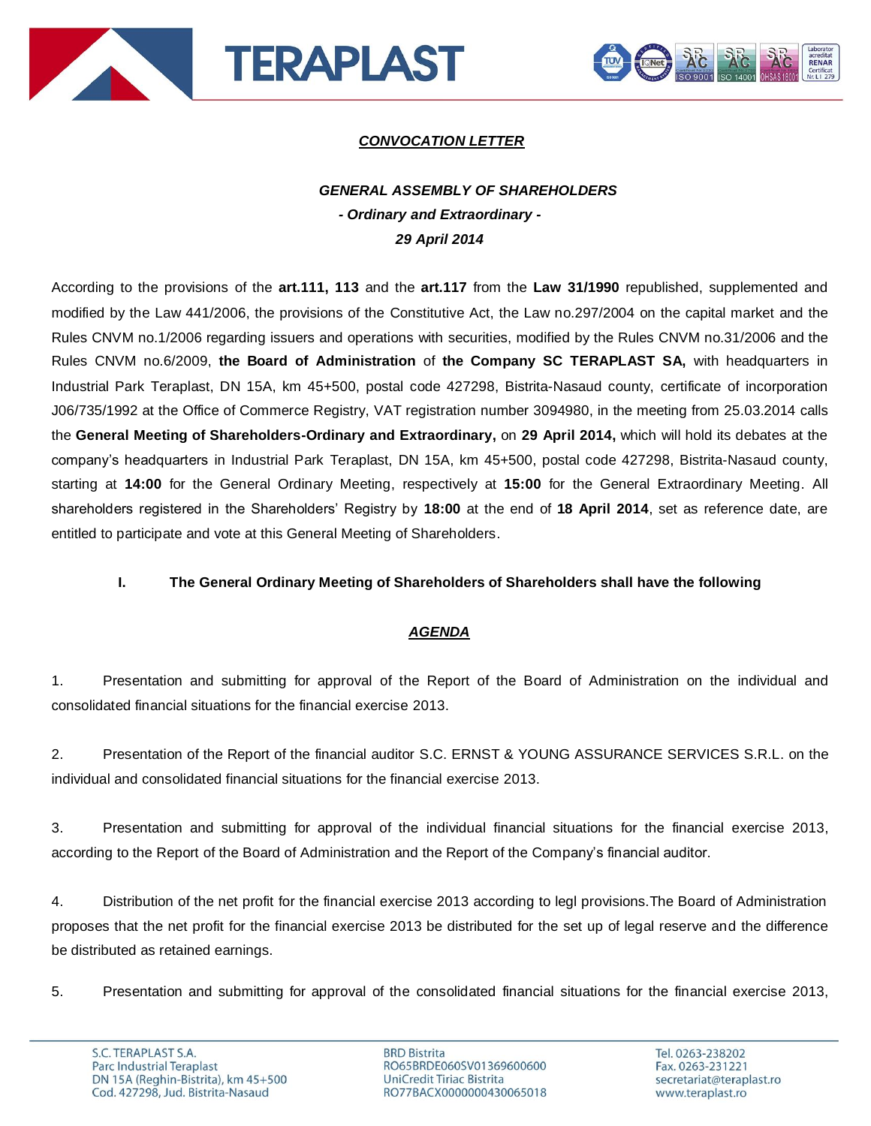



# *CONVOCATION LETTER*

# *GENERAL ASSEMBLY OF SHAREHOLDERS - Ordinary and Extraordinary - 29 April 2014*

According to the provisions of the **art.111, 113** and the **art.117** from the **Law 31/1990** republished, supplemented and modified by the Law 441/2006, the provisions of the Constitutive Act, the Law no.297/2004 on the capital market and the Rules CNVM no.1/2006 regarding issuers and operations with securities, modified by the Rules CNVM no.31/2006 and the Rules CNVM no.6/2009, **the Board of Administration** of **the Company SC TERAPLAST SA,** with headquarters in Industrial Park Teraplast, DN 15A, km 45+500, postal code 427298, Bistrita-Nasaud county, certificate of incorporation J06/735/1992 at the Office of Commerce Registry, VAT registration number 3094980, in the meeting from 25.03.2014 calls the **General Meeting of Shareholders-Ordinary and Extraordinary,** on **29 April 2014,** which will hold its debates at the company's headquarters in Industrial Park Teraplast, DN 15A, km 45+500, postal code 427298, Bistrita-Nasaud county, starting at **14:00** for the General Ordinary Meeting, respectively at **15:00** for the General Extraordinary Meeting. All shareholders registered in the Shareholders' Registry by **18:00** at the end of **18 April 2014**, set as reference date, are entitled to participate and vote at this General Meeting of Shareholders.

## **I. The General Ordinary Meeting of Shareholders of Shareholders shall have the following**

## *AGENDA*

1. Presentation and submitting for approval of the Report of the Board of Administration on the individual and consolidated financial situations for the financial exercise 2013.

2. Presentation of the Report of the financial auditor S.C. ERNST & YOUNG ASSURANCE SERVICES S.R.L. on the individual and consolidated financial situations for the financial exercise 2013.

3. Presentation and submitting for approval of the individual financial situations for the financial exercise 2013, according to the Report of the Board of Administration and the Report of the Company's financial auditor.

4. Distribution of the net profit for the financial exercise 2013 according to legl provisions.The Board of Administration proposes that the net profit for the financial exercise 2013 be distributed for the set up of legal reserve and the difference be distributed as retained earnings.

5. Presentation and submitting for approval of the consolidated financial situations for the financial exercise 2013,

**BRD Bistrita** RO65BRDE060SV01369600600 UniCredit Tiriac Bistrita RO77BACX0000000430065018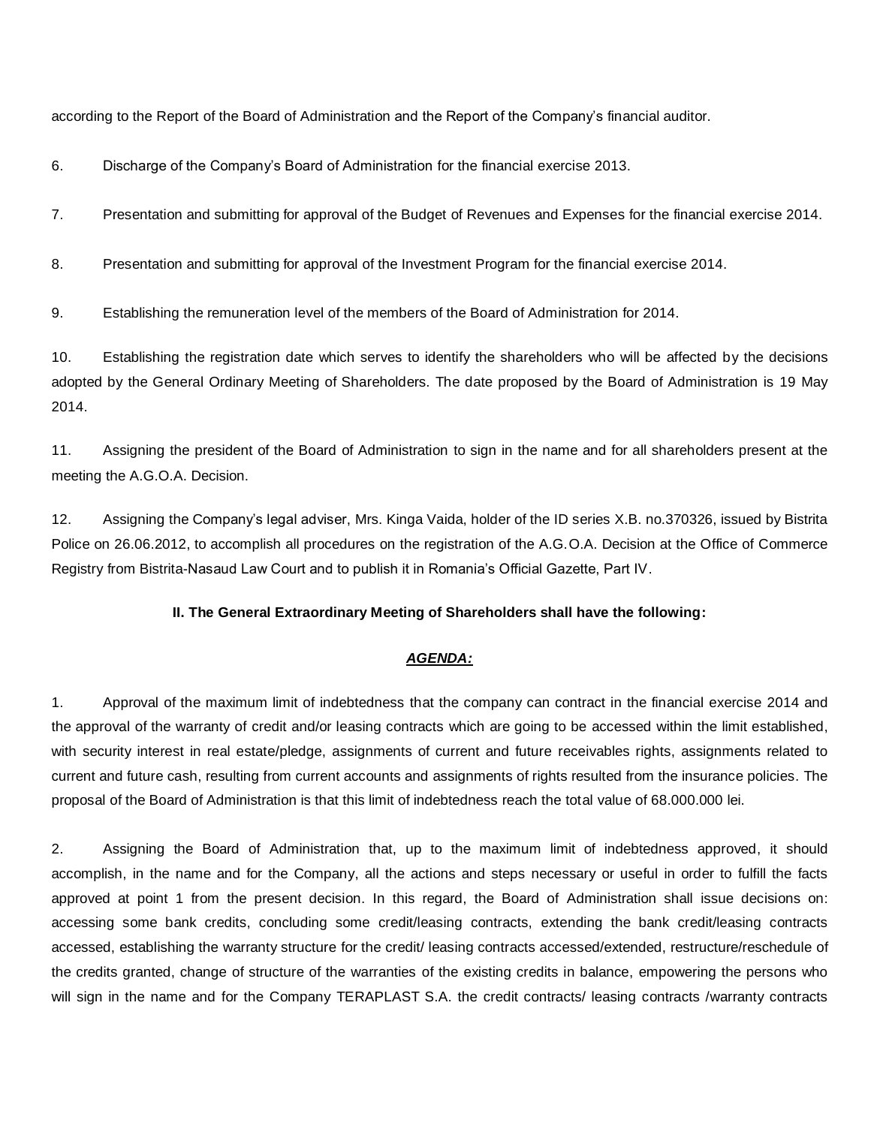according to the Report of the Board of Administration and the Report of the Company's financial auditor.

6. Discharge of the Company's Board of Administration for the financial exercise 2013.

7. Presentation and submitting for approval of the Budget of Revenues and Expenses for the financial exercise 2014.

8. Presentation and submitting for approval of the Investment Program for the financial exercise 2014.

9. Establishing the remuneration level of the members of the Board of Administration for 2014.

10. Establishing the registration date which serves to identify the shareholders who will be affected by the decisions adopted by the General Ordinary Meeting of Shareholders. The date proposed by the Board of Administration is 19 May 2014.

11. Assigning the president of the Board of Administration to sign in the name and for all shareholders present at the meeting the A.G.O.A. Decision.

12. Assigning the Company's legal adviser, Mrs. Kinga Vaida, holder of the ID series X.B. no.370326, issued by Bistrita Police on 26.06.2012, to accomplish all procedures on the registration of the A.G.O.A. Decision at the Office of Commerce Registry from Bistrita-Nasaud Law Court and to publish it in Romania's Official Gazette, Part IV.

### **II. The General Extraordinary Meeting of Shareholders shall have the following:**

#### *AGENDA:*

1. Approval of the maximum limit of indebtedness that the company can contract in the financial exercise 2014 and the approval of the warranty of credit and/or leasing contracts which are going to be accessed within the limit established, with security interest in real estate/pledge, assignments of current and future receivables rights, assignments related to current and future cash, resulting from current accounts and assignments of rights resulted from the insurance policies. The proposal of the Board of Administration is that this limit of indebtedness reach the total value of 68.000.000 lei.

2. Assigning the Board of Administration that, up to the maximum limit of indebtedness approved, it should accomplish, in the name and for the Company, all the actions and steps necessary or useful in order to fulfill the facts approved at point 1 from the present decision. In this regard, the Board of Administration shall issue decisions on: accessing some bank credits, concluding some credit/leasing contracts, extending the bank credit/leasing contracts accessed, establishing the warranty structure for the credit/ leasing contracts accessed/extended, restructure/reschedule of the credits granted, change of structure of the warranties of the existing credits in balance, empowering the persons who will sign in the name and for the Company TERAPLAST S.A. the credit contracts/ leasing contracts /warranty contracts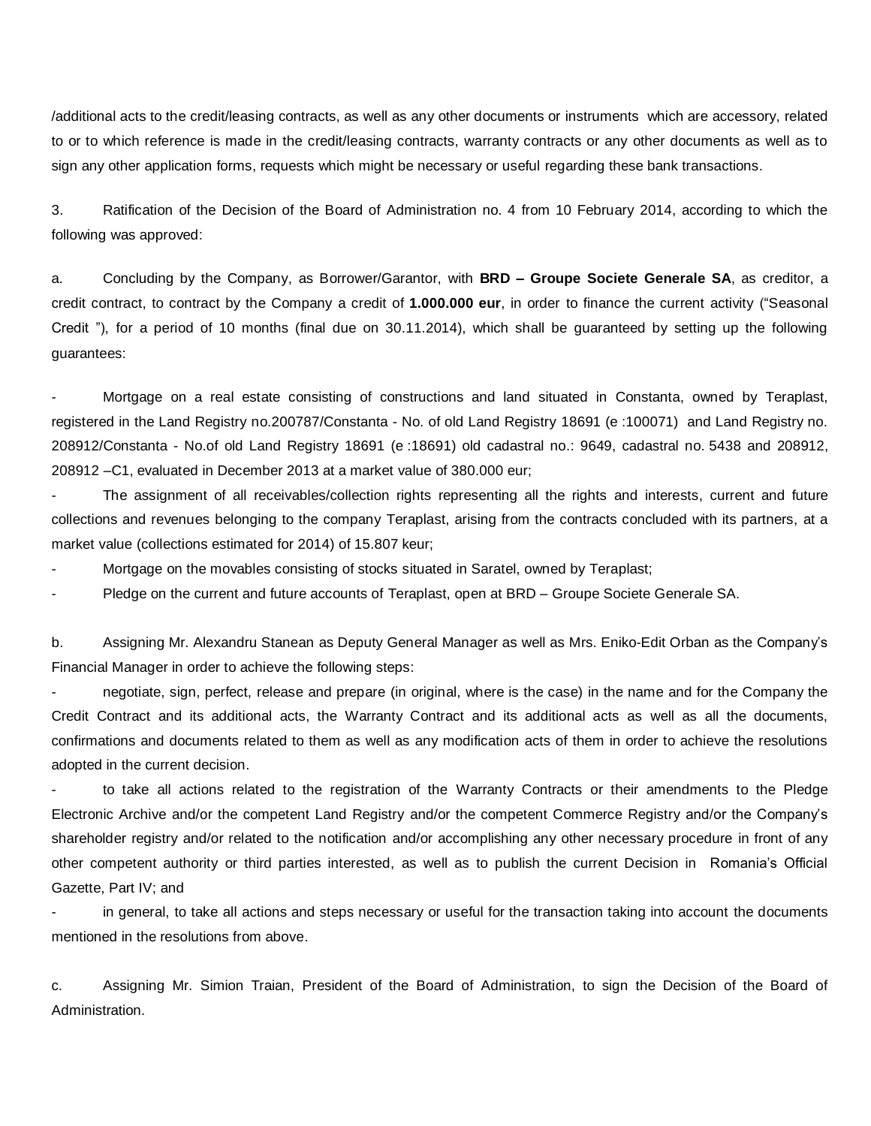/additional acts to the credit/leasing contracts, as well as any other documents or instruments which are accessory, related to or to which reference is made in the credit/leasing contracts, warranty contracts or any other documents as well as to sign any other application forms, requests which might be necessary or useful regarding these bank transactions.

3. Ratification of the Decision of the Board of Administration no. 4 from 10 February 2014, according to which the following was approved:

a. Concluding by the Company, as Borrower/Garantor, with **BRD – Groupe Societe Generale SA**, as creditor, a credit contract, to contract by the Company a credit of **1.000.000 eur**, in order to finance the current activity ("Seasonal Credit "), for a period of 10 months (final due on 30.11.2014), which shall be guaranteed by setting up the following guarantees:

- Mortgage on a real estate consisting of constructions and land situated in Constanta, owned by Teraplast, registered in the Land Registry no.200787/Constanta - No. of old Land Registry 18691 (e :100071) and Land Registry no. 208912/Constanta - No.of old Land Registry 18691 (e :18691) old cadastral no.: 9649, cadastral no. 5438 and 208912, 208912 –C1, evaluated in December 2013 at a market value of 380.000 eur;

The assignment of all receivables/collection rights representing all the rights and interests, current and future collections and revenues belonging to the company Teraplast, arising from the contracts concluded with its partners, at a market value (collections estimated for 2014) of 15.807 keur;

Mortgage on the movables consisting of stocks situated in Saratel, owned by Teraplast;

Pledge on the current and future accounts of Teraplast, open at BRD - Groupe Societe Generale SA.

b. Assigning Mr. Alexandru Stanean as Deputy General Manager as well as Mrs. Eniko-Edit Orban as the Company's Financial Manager in order to achieve the following steps:

negotiate, sign, perfect, release and prepare (in original, where is the case) in the name and for the Company the Credit Contract and its additional acts, the Warranty Contract and its additional acts as well as all the documents, confirmations and documents related to them as well as any modification acts of them in order to achieve the resolutions adopted in the current decision.

to take all actions related to the registration of the Warranty Contracts or their amendments to the Pledge Electronic Archive and/or the competent Land Registry and/or the competent Commerce Registry and/or the Company's shareholder registry and/or related to the notification and/or accomplishing any other necessary procedure in front of any other competent authority or third parties interested, as well as to publish the current Decision in Romania's Official Gazette, Part IV; and

in general, to take all actions and steps necessary or useful for the transaction taking into account the documents mentioned in the resolutions from above.

c. Assigning Mr. Simion Traian, President of the Board of Administration, to sign the Decision of the Board of Administration.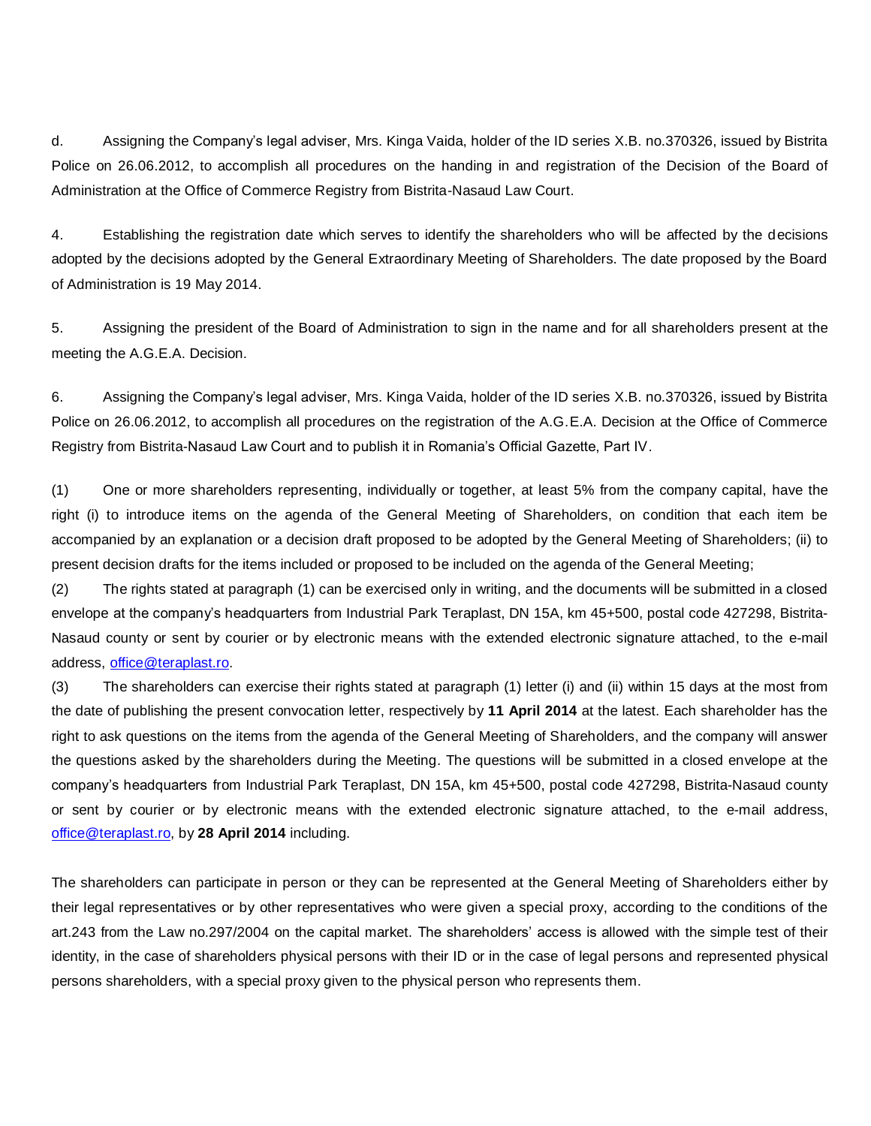d. Assigning the Company's legal adviser, Mrs. Kinga Vaida, holder of the ID series X.B. no.370326, issued by Bistrita Police on 26.06.2012, to accomplish all procedures on the handing in and registration of the Decision of the Board of Administration at the Office of Commerce Registry from Bistrita-Nasaud Law Court.

4. Establishing the registration date which serves to identify the shareholders who will be affected by the decisions adopted by the decisions adopted by the General Extraordinary Meeting of Shareholders. The date proposed by the Board of Administration is 19 May 2014.

5. Assigning the president of the Board of Administration to sign in the name and for all shareholders present at the meeting the A.G.E.A. Decision.

6. Assigning the Company's legal adviser, Mrs. Kinga Vaida, holder of the ID series X.B. no.370326, issued by Bistrita Police on 26.06.2012, to accomplish all procedures on the registration of the A.G.E.A. Decision at the Office of Commerce Registry from Bistrita-Nasaud Law Court and to publish it in Romania's Official Gazette, Part IV.

(1) One or more shareholders representing, individually or together, at least 5% from the company capital, have the right (i) to introduce items on the agenda of the General Meeting of Shareholders, on condition that each item be accompanied by an explanation or a decision draft proposed to be adopted by the General Meeting of Shareholders; (ii) to present decision drafts for the items included or proposed to be included on the agenda of the General Meeting;

(2) The rights stated at paragraph (1) can be exercised only in writing, and the documents will be submitted in a closed envelope at the company's headquarters from Industrial Park Teraplast, DN 15A, km 45+500, postal code 427298, Bistrita-Nasaud county or sent by courier or by electronic means with the extended electronic signature attached, to the e-mail address, [office@teraplast.ro.](mailto:office@teraplast.ro)

(3) The shareholders can exercise their rights stated at paragraph (1) letter (i) and (ii) within 15 days at the most from the date of publishing the present convocation letter, respectively by **11 April 2014** at the latest. Each shareholder has the right to ask questions on the items from the agenda of the General Meeting of Shareholders, and the company will answer the questions asked by the shareholders during the Meeting. The questions will be submitted in a closed envelope at the company's headquarters from Industrial Park Teraplast, DN 15A, km 45+500, postal code 427298, Bistrita-Nasaud county or sent by courier or by electronic means with the extended electronic signature attached, to the e-mail address, [office@teraplast.ro,](mailto:office@teraplast.ro) by **28 April 2014** including.

The shareholders can participate in person or they can be represented at the General Meeting of Shareholders either by their legal representatives or by other representatives who were given a special proxy, according to the conditions of the art.243 from the Law no.297/2004 on the capital market. The shareholders' access is allowed with the simple test of their identity, in the case of shareholders physical persons with their ID or in the case of legal persons and represented physical persons shareholders, with a special proxy given to the physical person who represents them.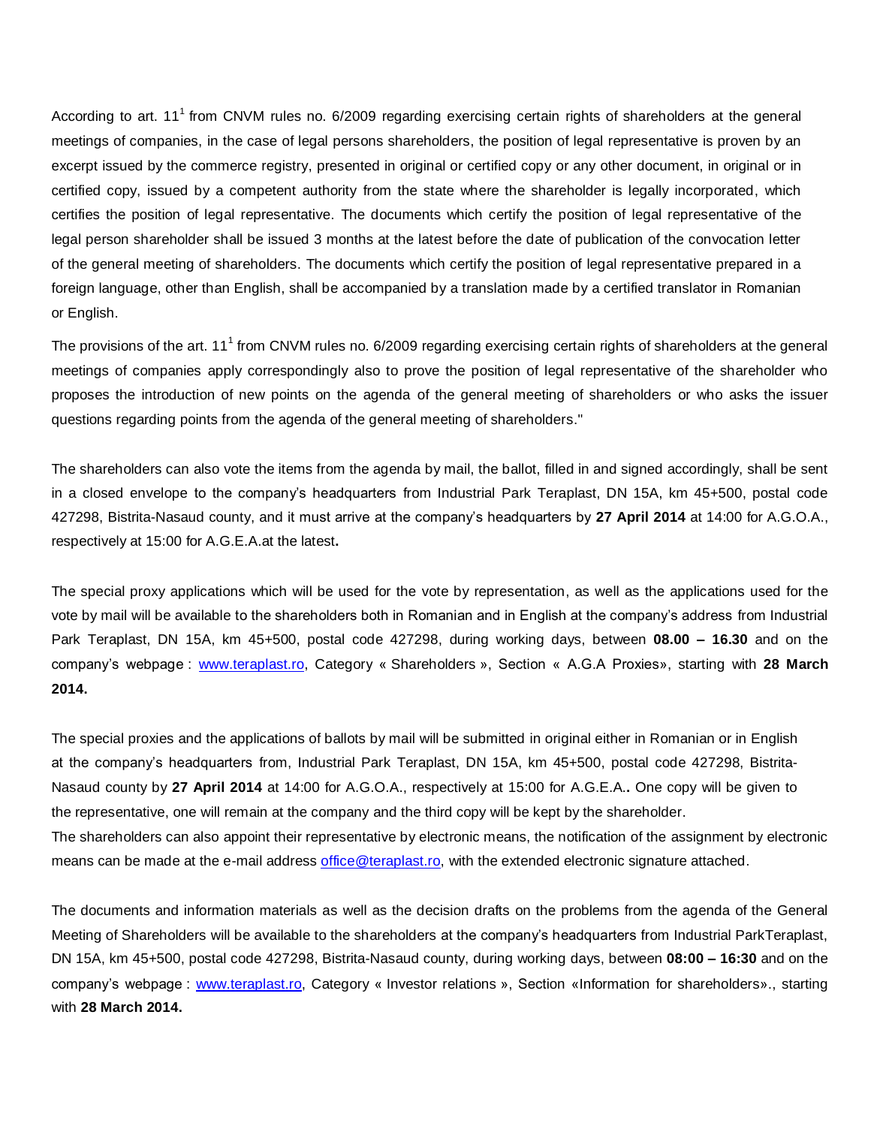According to art.  $11<sup>1</sup>$  from CNVM rules no. 6/2009 regarding exercising certain rights of shareholders at the general meetings of companies, in the case of legal persons shareholders, the position of legal representative is proven by an excerpt issued by the commerce registry, presented in original or certified copy or any other document, in original or in certified copy, issued by a competent authority from the state where the shareholder is legally incorporated, which certifies the position of legal representative. The documents which certify the position of legal representative of the legal person shareholder shall be issued 3 months at the latest before the date of publication of the convocation letter of the general meeting of shareholders. The documents which certify the position of legal representative prepared in a foreign language, other than English, shall be accompanied by a translation made by a certified translator in Romanian or English.

The provisions of the art. 11<sup>1</sup> from CNVM rules no. 6/2009 regarding exercising certain rights of shareholders at the general meetings of companies apply correspondingly also to prove the position of legal representative of the shareholder who proposes the introduction of new points on the agenda of the general meeting of shareholders or who asks the issuer questions regarding points from the agenda of the general meeting of shareholders."

The shareholders can also vote the items from the agenda by mail, the ballot, filled in and signed accordingly, shall be sent in a closed envelope to the company's headquarters from Industrial Park Teraplast, DN 15A, km 45+500, postal code 427298, Bistrita-Nasaud county, and it must arrive at the company's headquarters by **27 April 2014** at 14:00 for A.G.O.A., respectively at 15:00 for A.G.E.A.at the latest**.**

The special proxy applications which will be used for the vote by representation, as well as the applications used for the vote by mail will be available to the shareholders both in Romanian and in English at the company's address from Industrial Park Teraplast, DN 15A, km 45+500, postal code 427298, during working days, between **08.00 – 16.30** and on the company's webpage : [www.teraplast.ro,](http://www.teraplast.ro/) Category « Shareholders », Section « A.G.A Proxies», starting with **28 March 2014.**

The special proxies and the applications of ballots by mail will be submitted in original either in Romanian or in English at the company's headquarters from, Industrial Park Teraplast, DN 15A, km 45+500, postal code 427298, Bistrita-Nasaud county by **27 April 2014** at 14:00 for A.G.O.A., respectively at 15:00 for A.G.E.A.**.** One copy will be given to the representative, one will remain at the company and the third copy will be kept by the shareholder. The shareholders can also appoint their representative by electronic means, the notification of the assignment by electronic means can be made at the e-mail address [office@teraplast.ro,](mailto:office@teraplast.ro) with the extended electronic signature attached.

The documents and information materials as well as the decision drafts on the problems from the agenda of the General Meeting of Shareholders will be available to the shareholders at the company's headquarters from Industrial ParkTeraplast, DN 15A, km 45+500, postal code 427298, Bistrita-Nasaud county, during working days, between **08:00 – 16:30** and on the company's webpage : [www.teraplast.ro,](http://www.teraplast.ro/) Category « Investor relations », Section «Information for shareholders»., starting with **28 March 2014.**